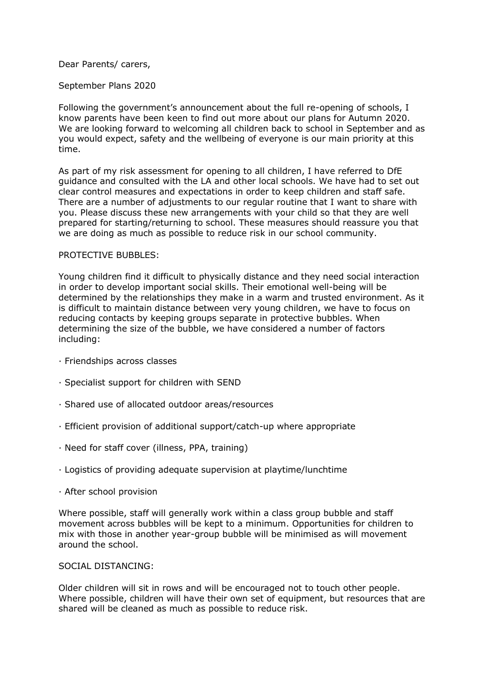Dear Parents/ carers,

September Plans 2020

Following the government's announcement about the full re-opening of schools, I know parents have been keen to find out more about our plans for Autumn 2020. We are looking forward to welcoming all children back to school in September and as you would expect, safety and the wellbeing of everyone is our main priority at this time.

As part of my risk assessment for opening to all children, I have referred to DfE guidance and consulted with the LA and other local schools. We have had to set out clear control measures and expectations in order to keep children and staff safe. There are a number of adjustments to our regular routine that I want to share with you. Please discuss these new arrangements with your child so that they are well prepared for starting/returning to school. These measures should reassure you that we are doing as much as possible to reduce risk in our school community.

## PROTECTIVE BUBBLES:

Young children find it difficult to physically distance and they need social interaction in order to develop important social skills. Their emotional well-being will be determined by the relationships they make in a warm and trusted environment. As it is difficult to maintain distance between very young children, we have to focus on reducing contacts by keeping groups separate in protective bubbles. When determining the size of the bubble, we have considered a number of factors including:

- · Friendships across classes
- · Specialist support for children with SEND
- · Shared use of allocated outdoor areas/resources
- · Efficient provision of additional support/catch-up where appropriate
- · Need for staff cover (illness, PPA, training)
- · Logistics of providing adequate supervision at playtime/lunchtime
- · After school provision

Where possible, staff will generally work within a class group bubble and staff movement across bubbles will be kept to a minimum. Opportunities for children to mix with those in another year-group bubble will be minimised as will movement around the school.

# SOCIAL DISTANCING:

Older children will sit in rows and will be encouraged not to touch other people. Where possible, children will have their own set of equipment, but resources that are shared will be cleaned as much as possible to reduce risk.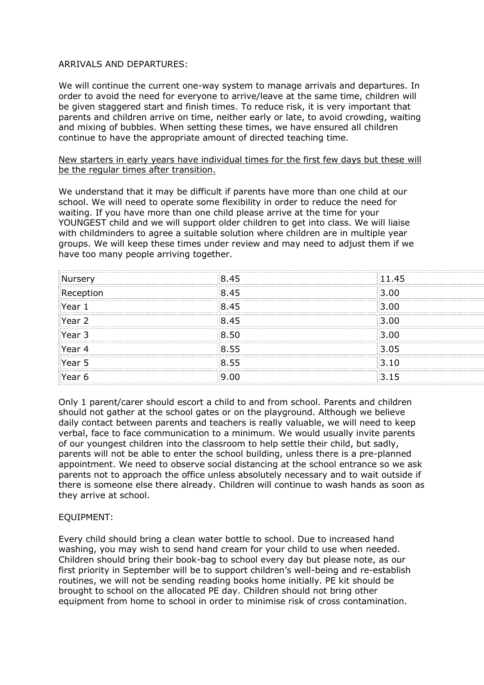## ARRIVALS AND DEPARTURES:

We will continue the current one-way system to manage arrivals and departures. In order to avoid the need for everyone to arrive/leave at the same time, children will be given staggered start and finish times. To reduce risk, it is very important that parents and children arrive on time, neither early or late, to avoid crowding, waiting and mixing of bubbles. When setting these times, we have ensured all children continue to have the appropriate amount of directed teaching time.

## New starters in early years have individual times for the first few days but these will be the regular times after transition.

We understand that it may be difficult if parents have more than one child at our school. We will need to operate some flexibility in order to reduce the need for waiting. If you have more than one child please arrive at the time for your YOUNGEST child and we will support older children to get into class. We will liaise with childminders to agree a suitable solution where children are in multiple year groups. We will keep these times under review and may need to adjust them if we have too many people arriving together.

> ---------------------------------------------------------------------------------------------------------------------------------

---------------------------------

| Nursery   | 8.45 | 11.45 |
|-----------|------|-------|
| Reception | 8.45 | חח ד  |
| Year 1    | 8.45 |       |
| Year 2    | 8.45 | חח ד  |
| Year 3    | 8.50 |       |
| 'Year 4   | 8.55 | 3.05  |
| Year 5    | 8.55 | 3 1 ก |
| Year 6    | 9.00 | 315   |

Only 1 parent/carer should escort a child to and from school. Parents and children should not gather at the school gates or on the playground. Although we believe daily contact between parents and teachers is really valuable, we will need to keep verbal, face to face communication to a minimum. We would usually invite parents of our youngest children into the classroom to help settle their child, but sadly, parents will not be able to enter the school building, unless there is a pre-planned appointment. We need to observe social distancing at the school entrance so we ask parents not to approach the office unless absolutely necessary and to wait outside if there is someone else there already. Children will continue to wash hands as soon as they arrive at school.

# EQUIPMENT:

Every child should bring a clean water bottle to school. Due to increased hand washing, you may wish to send hand cream for your child to use when needed. Children should bring their book-bag to school every day but please note, as our first priority in September will be to support children's well-being and re-establish routines, we will not be sending reading books home initially. PE kit should be brought to school on the allocated PE day. Children should not bring other equipment from home to school in order to minimise risk of cross contamination.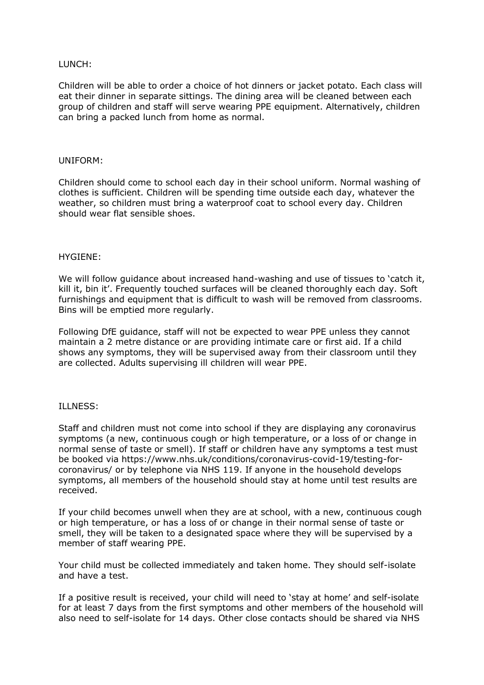## LUNCH:

Children will be able to order a choice of hot dinners or jacket potato. Each class will eat their dinner in separate sittings. The dining area will be cleaned between each group of children and staff will serve wearing PPE equipment. Alternatively, children can bring a packed lunch from home as normal.

#### UNIFORM:

Children should come to school each day in their school uniform. Normal washing of clothes is sufficient. Children will be spending time outside each day, whatever the weather, so children must bring a waterproof coat to school every day. Children should wear flat sensible shoes.

## HYGIENE:

We will follow guidance about increased hand-washing and use of tissues to 'catch it, kill it, bin it'. Frequently touched surfaces will be cleaned thoroughly each day. Soft furnishings and equipment that is difficult to wash will be removed from classrooms. Bins will be emptied more regularly.

Following DfE guidance, staff will not be expected to wear PPE unless they cannot maintain a 2 metre distance or are providing intimate care or first aid. If a child shows any symptoms, they will be supervised away from their classroom until they are collected. Adults supervising ill children will wear PPE.

#### ILLNESS:

Staff and children must not come into school if they are displaying any coronavirus symptoms (a new, continuous cough or high temperature, or a loss of or change in normal sense of taste or smell). If staff or children have any symptoms a test must be booked via https://www.nhs.uk/conditions/coronavirus-covid-19/testing-forcoronavirus/ or by telephone via NHS 119. If anyone in the household develops symptoms, all members of the household should stay at home until test results are received.

If your child becomes unwell when they are at school, with a new, continuous cough or high temperature, or has a loss of or change in their normal sense of taste or smell, they will be taken to a designated space where they will be supervised by a member of staff wearing PPE.

Your child must be collected immediately and taken home. They should self-isolate and have a test.

If a positive result is received, your child will need to 'stay at home' and self-isolate for at least 7 days from the first symptoms and other members of the household will also need to self-isolate for 14 days. Other close contacts should be shared via NHS